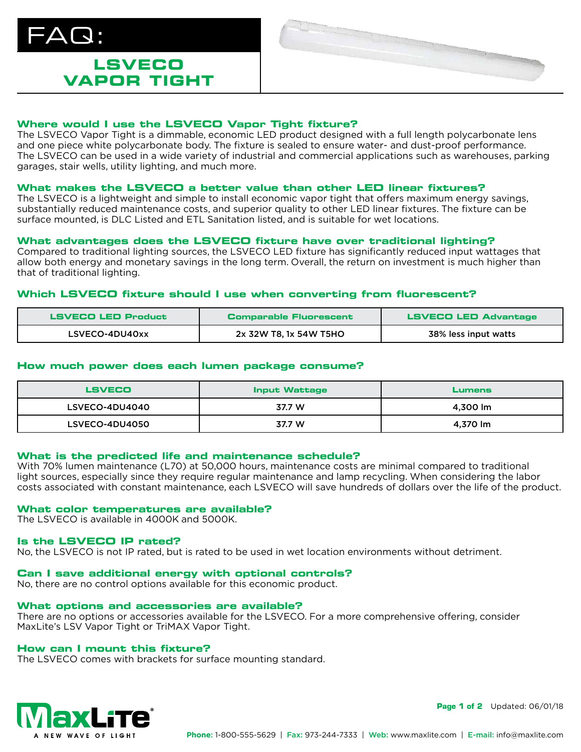

## **LSVECO VAPOR TIGHT**



### **Where would I use the LSVECO Vapor Tight fixture?**

The LSVECO Vapor Tight is a dimmable, economic LED product designed with a full length polycarbonate lens and one piece white polycarbonate body. The fixture is sealed to ensure water- and dust-proof performance. The LSVECO can be used in a wide variety of industrial and commercial applications such as warehouses, parking garages, stair wells, utility lighting, and much more.

### **What makes the LSVECO a better value than other LED linear fixtures?**

The LSVECO is a lightweight and simple to install economic vapor tight that offers maximum energy savings, substantially reduced maintenance costs, and superior quality to other LED linear fixtures. The fixture can be surface mounted, is DLC Listed and ETL Sanitation listed, and is suitable for wet locations.

### **What advantages does the LSVECO fixture have over traditional lighting?**

Compared to traditional lighting sources, the LSVECO LED fixture has significantly reduced input wattages that allow both energy and monetary savings in the long term. Overall, the return on investment is much higher than that of traditional lighting.

### **Which LSVECO fixture should I use when converting from fluorescent?**

| <b>LSVECO LED Product</b> | <b>Comparable Fluorescent</b> | <b>LSVECO LED Advantage</b> |
|---------------------------|-------------------------------|-----------------------------|
| LSVECO-4DU40xx            | 2x 32W T8, 1x 54W T5HO        | 38% less input watts        |

### **How much power does each lumen package consume?**

| <b>LSVECO</b>  | <b>Input Wattage</b> | <b>Lumens</b> |
|----------------|----------------------|---------------|
| LSVECO-4DU4040 | 37.7 W               | 4,300 lm      |
| LSVECO-4DU4050 | 37.7 W               | 4,370 lm      |

### **What is the predicted life and maintenance schedule?**

With 70% lumen maintenance (L70) at 50,000 hours, maintenance costs are minimal compared to traditional light sources, especially since they require regular maintenance and lamp recycling. When considering the labor costs associated with constant maintenance, each LSVECO will save hundreds of dollars over the life of the product.

### **What color temperatures are available?**

The LSVECO is available in 4000K and 5000K.

### **Is the LSVECO IP rated?**

No, the LSVECO is not IP rated, but is rated to be used in wet location environments without detriment.

### **Can I save additional energy with optional controls?**

No, there are no control options available for this economic product.

### **What options and accessories are available?**

There are no options or accessories available for the LSVECO. For a more comprehensive offering, consider MaxLite's LSV Vapor Tight or TriMAX Vapor Tight.

### **How can I mount this fixture?**

The LSVECO comes with brackets for surface mounting standard.



**Page 1 of 2** Updated: 06/01/18